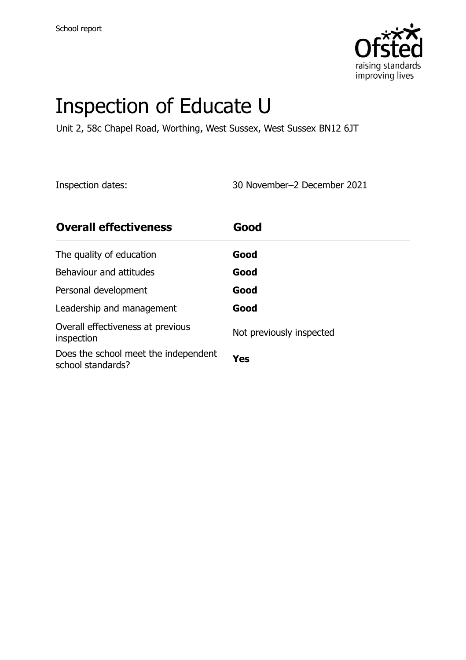

# Inspection of Educate U

Unit 2, 58c Chapel Road, Worthing, West Sussex, West Sussex BN12 6JT

Inspection dates: 30 November–2 December 2021

| <b>Overall effectiveness</b>                              | Good                     |
|-----------------------------------------------------------|--------------------------|
| The quality of education                                  | Good                     |
| Behaviour and attitudes                                   | Good                     |
| Personal development                                      | Good                     |
| Leadership and management                                 | Good                     |
| Overall effectiveness at previous<br>inspection           | Not previously inspected |
| Does the school meet the independent<br>school standards? | Yes                      |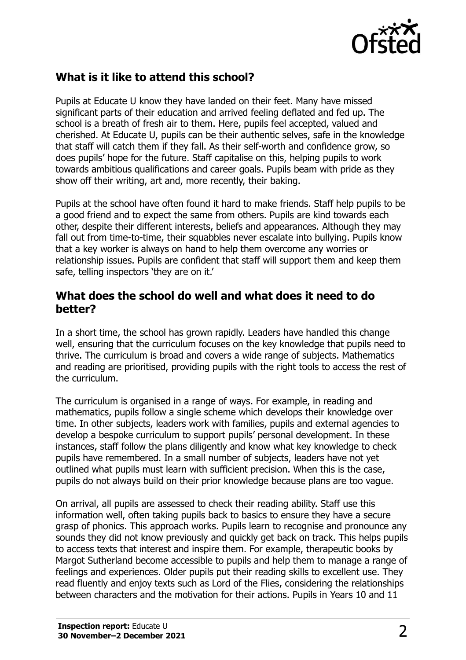

# **What is it like to attend this school?**

Pupils at Educate U know they have landed on their feet. Many have missed significant parts of their education and arrived feeling deflated and fed up. The school is a breath of fresh air to them. Here, pupils feel accepted, valued and cherished. At Educate U, pupils can be their authentic selves, safe in the knowledge that staff will catch them if they fall. As their self-worth and confidence grow, so does pupils' hope for the future. Staff capitalise on this, helping pupils to work towards ambitious qualifications and career goals. Pupils beam with pride as they show off their writing, art and, more recently, their baking.

Pupils at the school have often found it hard to make friends. Staff help pupils to be a good friend and to expect the same from others. Pupils are kind towards each other, despite their different interests, beliefs and appearances. Although they may fall out from time-to-time, their squabbles never escalate into bullying. Pupils know that a key worker is always on hand to help them overcome any worries or relationship issues. Pupils are confident that staff will support them and keep them safe, telling inspectors 'they are on it.'

#### **What does the school do well and what does it need to do better?**

In a short time, the school has grown rapidly. Leaders have handled this change well, ensuring that the curriculum focuses on the key knowledge that pupils need to thrive. The curriculum is broad and covers a wide range of subjects. Mathematics and reading are prioritised, providing pupils with the right tools to access the rest of the curriculum.

The curriculum is organised in a range of ways. For example, in reading and mathematics, pupils follow a single scheme which develops their knowledge over time. In other subjects, leaders work with families, pupils and external agencies to develop a bespoke curriculum to support pupils' personal development. In these instances, staff follow the plans diligently and know what key knowledge to check pupils have remembered. In a small number of subjects, leaders have not yet outlined what pupils must learn with sufficient precision. When this is the case, pupils do not always build on their prior knowledge because plans are too vague.

On arrival, all pupils are assessed to check their reading ability. Staff use this information well, often taking pupils back to basics to ensure they have a secure grasp of phonics. This approach works. Pupils learn to recognise and pronounce any sounds they did not know previously and quickly get back on track. This helps pupils to access texts that interest and inspire them. For example, therapeutic books by Margot Sutherland become accessible to pupils and help them to manage a range of feelings and experiences. Older pupils put their reading skills to excellent use. They read fluently and enjoy texts such as Lord of the Flies, considering the relationships between characters and the motivation for their actions. Pupils in Years 10 and 11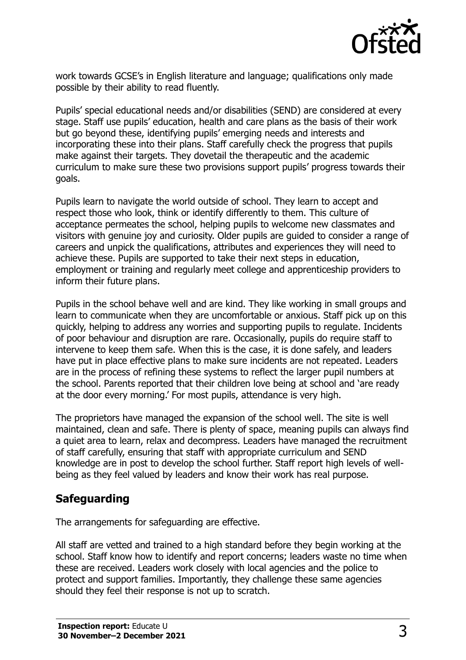

work towards GCSE's in English literature and language; qualifications only made possible by their ability to read fluently.

Pupils' special educational needs and/or disabilities (SEND) are considered at every stage. Staff use pupils' education, health and care plans as the basis of their work but go beyond these, identifying pupils' emerging needs and interests and incorporating these into their plans. Staff carefully check the progress that pupils make against their targets. They dovetail the therapeutic and the academic curriculum to make sure these two provisions support pupils' progress towards their goals.

Pupils learn to navigate the world outside of school. They learn to accept and respect those who look, think or identify differently to them. This culture of acceptance permeates the school, helping pupils to welcome new classmates and visitors with genuine joy and curiosity. Older pupils are guided to consider a range of careers and unpick the qualifications, attributes and experiences they will need to achieve these. Pupils are supported to take their next steps in education, employment or training and regularly meet college and apprenticeship providers to inform their future plans.

Pupils in the school behave well and are kind. They like working in small groups and learn to communicate when they are uncomfortable or anxious. Staff pick up on this quickly, helping to address any worries and supporting pupils to regulate. Incidents of poor behaviour and disruption are rare. Occasionally, pupils do require staff to intervene to keep them safe. When this is the case, it is done safely, and leaders have put in place effective plans to make sure incidents are not repeated. Leaders are in the process of refining these systems to reflect the larger pupil numbers at the school. Parents reported that their children love being at school and 'are ready at the door every morning.' For most pupils, attendance is very high.

The proprietors have managed the expansion of the school well. The site is well maintained, clean and safe. There is plenty of space, meaning pupils can always find a quiet area to learn, relax and decompress. Leaders have managed the recruitment of staff carefully, ensuring that staff with appropriate curriculum and SEND knowledge are in post to develop the school further. Staff report high levels of wellbeing as they feel valued by leaders and know their work has real purpose.

# **Safeguarding**

The arrangements for safeguarding are effective.

All staff are vetted and trained to a high standard before they begin working at the school. Staff know how to identify and report concerns; leaders waste no time when these are received. Leaders work closely with local agencies and the police to protect and support families. Importantly, they challenge these same agencies should they feel their response is not up to scratch.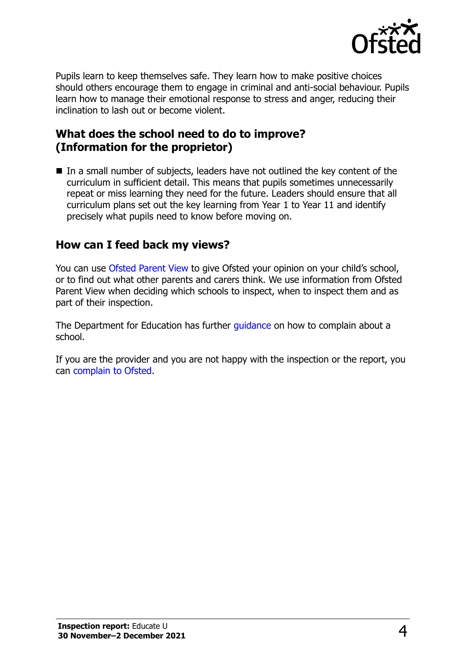

Pupils learn to keep themselves safe. They learn how to make positive choices should others encourage them to engage in criminal and anti-social behaviour. Pupils learn how to manage their emotional response to stress and anger, reducing their inclination to lash out or become violent.

### **What does the school need to do to improve? (Information for the proprietor)**

■ In a small number of subjects, leaders have not outlined the key content of the curriculum in sufficient detail. This means that pupils sometimes unnecessarily repeat or miss learning they need for the future. Leaders should ensure that all curriculum plans set out the key learning from Year 1 to Year 11 and identify precisely what pupils need to know before moving on.

#### **How can I feed back my views?**

You can use [Ofsted Parent View](http://parentview.ofsted.gov.uk/) to give Ofsted your opinion on your child's school, or to find out what other parents and carers think. We use information from Ofsted Parent View when deciding which schools to inspect, when to inspect them and as part of their inspection.

The Department for Education has further quidance on how to complain about a school.

If you are the provider and you are not happy with the inspection or the report, you can [complain to Ofsted.](http://www.gov.uk/complain-ofsted-report)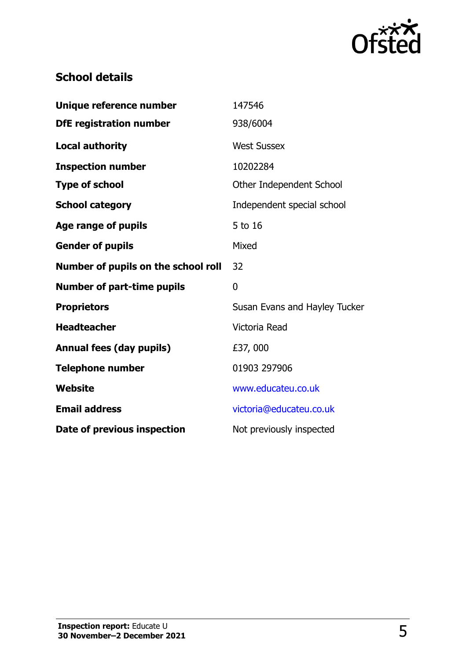

# **School details**

| Unique reference number             | 147546                        |
|-------------------------------------|-------------------------------|
| <b>DfE</b> registration number      | 938/6004                      |
| <b>Local authority</b>              | <b>West Sussex</b>            |
| <b>Inspection number</b>            | 10202284                      |
| <b>Type of school</b>               | Other Independent School      |
| <b>School category</b>              | Independent special school    |
| <b>Age range of pupils</b>          | 5 to 16                       |
| <b>Gender of pupils</b>             | Mixed                         |
| Number of pupils on the school roll | 32                            |
| <b>Number of part-time pupils</b>   | $\mathbf 0$                   |
| <b>Proprietors</b>                  | Susan Evans and Hayley Tucker |
| <b>Headteacher</b>                  | Victoria Read                 |
| <b>Annual fees (day pupils)</b>     | £37,000                       |
| <b>Telephone number</b>             | 01903 297906                  |
| <b>Website</b>                      | www.educateu.co.uk            |
| <b>Email address</b>                | victoria@educateu.co.uk       |
| Date of previous inspection         | Not previously inspected      |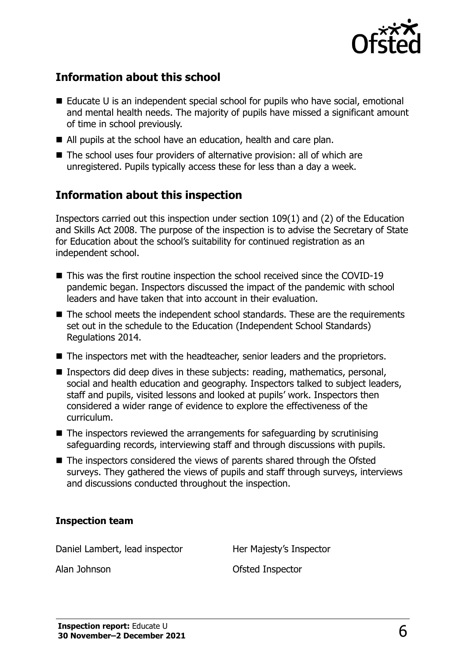

# **Information about this school**

- $\blacksquare$  Educate U is an independent special school for pupils who have social, emotional and mental health needs. The majority of pupils have missed a significant amount of time in school previously.
- All pupils at the school have an education, health and care plan.
- The school uses four providers of alternative provision: all of which are unregistered. Pupils typically access these for less than a day a week.

### **Information about this inspection**

Inspectors carried out this inspection under section 109(1) and (2) of the Education and Skills Act 2008. The purpose of the inspection is to advise the Secretary of State for Education about the school's suitability for continued registration as an independent school.

- This was the first routine inspection the school received since the COVID-19 pandemic began. Inspectors discussed the impact of the pandemic with school leaders and have taken that into account in their evaluation.
- The school meets the independent school standards. These are the requirements set out in the schedule to the Education (Independent School Standards) Regulations 2014.
- The inspectors met with the headteacher, senior leaders and the proprietors.
- Inspectors did deep dives in these subjects: reading, mathematics, personal, social and health education and geography. Inspectors talked to subject leaders, staff and pupils, visited lessons and looked at pupils' work. Inspectors then considered a wider range of evidence to explore the effectiveness of the curriculum.
- The inspectors reviewed the arrangements for safeguarding by scrutinising safeguarding records, interviewing staff and through discussions with pupils.
- The inspectors considered the views of parents shared through the Ofsted surveys. They gathered the views of pupils and staff through surveys, interviews and discussions conducted throughout the inspection.

#### **Inspection team**

Daniel Lambert, lead inspector Her Majesty's Inspector

Alan Johnson Ofsted Inspector